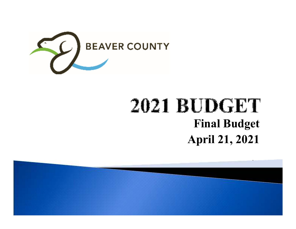

## **2021 BUDGET Final BudgetApril 21, 2021**

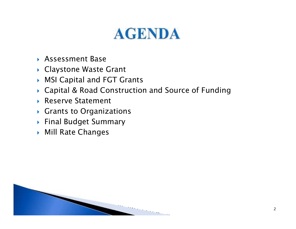# **AGENDA**

- Assessment Base
- Claystone Waste Grant
- MSI Capital and FGT Grants
- Capital & Road Construction and Source of Funding
- ▶ Reserve Statement
- $\blacktriangleright$  Grants to Organizations
- Final Budget Summary
- $\blacktriangleright$  Mill Rate Changes

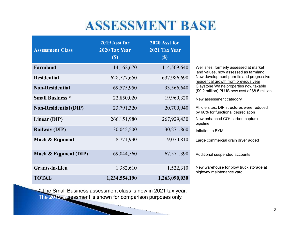#### **ASSESSMENT BASE**

| <b>Assessment Class</b>      | 2019 Asst for<br>2020 Tax Year<br>$\left( \mathbb{S}\right)$ | 2020 Asst for<br>2021 Tax Year<br>$\left( \mathbb{S}\right)$ |                   |
|------------------------------|--------------------------------------------------------------|--------------------------------------------------------------|-------------------|
| Farmland                     | 114,162,670                                                  | 114,509,640                                                  |                   |
| <b>Residential</b>           | 628,777,650                                                  | 637,986,690                                                  | <u>اا</u><br>۱    |
| <b>Non-Residential</b>       | 69,575,950                                                   | 93,566,640                                                   | $rac{r}{\zeta}$   |
| <b>Small Business *</b>      | 22,850,020                                                   | 19,960,320                                                   | Ń                 |
| <b>Non-Residential (DIP)</b> | 23,791,320                                                   | 20,700,940                                                   | /<br>k            |
| Linear (DIP)                 | 266,151,980                                                  | 267,929,430                                                  | $\mathsf{L}$<br>F |
| <b>Railway (DIP)</b>         | 30,045,500                                                   | 30,271,860                                                   |                   |
| Mach & Eqpment               | 8,771,930                                                    | 9,070,810                                                    | L                 |
| Mach & Eqpment (DIP)         | 69,044,560                                                   | 67,571,390                                                   | F                 |
| <b>Grants-in-Lieu</b>        | 1,382,610                                                    | 1,522,310                                                    | Ņ<br>h            |
| <b>TOTAL</b>                 | 1,234,554,190                                                | 1,263,090,030                                                |                   |

Well sites, formerly assessed at market land values, now assessed as farmland New development permits and progressive residential growth from previous year Claystone Waste properties now taxable (\$9.2 million) PLUS new asst of \$8.5 million

#### New assessment category

At idle sites, DIP structures were reduced by 60% for functional depreciationNew enhanced CO $^2$  carbon capture pipelinenflation to BYM

Large commercial grain dryer added

Additional suspended accounts

New warehouse for plow truck storage at highway maintenance yard

\* The Small Business assessment class is new in 2021 tax year. The 2019 assessment is shown for comparison purposes only.

 $\mathcal{L}_{\mathcal{A}}$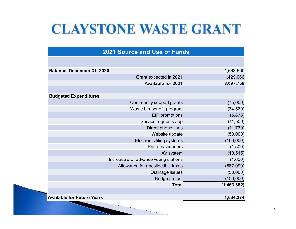### **CLAYSTONE WASTE GRANT**

| <b>2021 Source and Use of Funds</b> |                                       |               |  |  |  |  |  |
|-------------------------------------|---------------------------------------|---------------|--|--|--|--|--|
|                                     |                                       |               |  |  |  |  |  |
| Balance, December 31, 2020          |                                       | 1,668,690     |  |  |  |  |  |
|                                     | Grant expected in 2021                | 1,429,066     |  |  |  |  |  |
|                                     | <b>Available for 2021</b>             | 3,097,756     |  |  |  |  |  |
|                                     |                                       |               |  |  |  |  |  |
| <b>Budgeted Expenditures</b>        |                                       |               |  |  |  |  |  |
|                                     | Community support grants              | (75,000)      |  |  |  |  |  |
|                                     | Waste bin benefit program             | (34, 560)     |  |  |  |  |  |
|                                     | EIP promotions                        | (5,878)       |  |  |  |  |  |
|                                     | Service requests app                  | (11,500)      |  |  |  |  |  |
|                                     | Direct phone lines                    | (11, 730)     |  |  |  |  |  |
|                                     | Website update                        | (50,000)      |  |  |  |  |  |
|                                     | Electronic filing systems             | (166,000)     |  |  |  |  |  |
|                                     | Printers/scanners                     | (1,500)       |  |  |  |  |  |
|                                     | AV system                             | (18, 515)     |  |  |  |  |  |
|                                     | Increase # of advance voting stations | (1,600)       |  |  |  |  |  |
|                                     | Allowance for uncollectible taxes     | (887,099)     |  |  |  |  |  |
|                                     | Drainage issues                       | (50,000)      |  |  |  |  |  |
|                                     | <b>Bridge project</b>                 | (150,000)     |  |  |  |  |  |
|                                     | <b>Total</b>                          | (1, 463, 382) |  |  |  |  |  |
| <b>Available for Future Years</b>   |                                       | 1,634,374     |  |  |  |  |  |

**STATISTICS**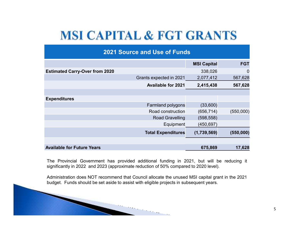#### **MSI CAPITAL & FGT GRANTS**

| <b>2021 Source and Use of Funds</b>   |                           |                    |            |  |  |  |  |  |
|---------------------------------------|---------------------------|--------------------|------------|--|--|--|--|--|
|                                       |                           | <b>MSI Capital</b> | <b>FGT</b> |  |  |  |  |  |
| <b>Estimated Carry-Over from 2020</b> |                           | 338,026            | 0          |  |  |  |  |  |
|                                       | Grants expected in 2021   | 2,077,412          | 567,628    |  |  |  |  |  |
|                                       | <b>Available for 2021</b> | 2,415,438          | 567,628    |  |  |  |  |  |
|                                       |                           |                    |            |  |  |  |  |  |
| <b>Expenditures</b>                   |                           |                    |            |  |  |  |  |  |
|                                       | <b>Farmland polygons</b>  | (33,600)           |            |  |  |  |  |  |
|                                       | Road construction         | (656, 714)         | (550,000)  |  |  |  |  |  |
|                                       | <b>Road Gravelling</b>    | (598, 558)         |            |  |  |  |  |  |
|                                       | Equipment                 | (450, 697)         |            |  |  |  |  |  |
|                                       | <b>Total Expenditures</b> | (1,739,569)        | (550,000)  |  |  |  |  |  |
|                                       |                           |                    |            |  |  |  |  |  |
| <b>Available for Future Years</b>     |                           | 675,869            | 17,628     |  |  |  |  |  |

The Provincial Government has provided additional funding in 2021, but will be reducing it significantly in <sup>2022</sup> and <sup>2023</sup> (approximate reduction of 50% compared to <sup>2020</sup> level).

Administration does NOT recommend that Council allocate the unused MSI capital grant in the <sup>2021</sup> budget. Funds should be set aside to assist with eligible projects in subsequent years.

 $\sim$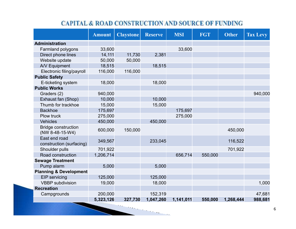#### **CAPITAL & ROAD CONSTRUCTION AND SOURCE OF FUNDING**

|                                               | <b>Amount</b> | <b>Claystone</b> | <b>Reserve</b> | <b>MSI</b> | <b>FGT</b> | <b>Other</b> | <b>Tax Levy</b> |
|-----------------------------------------------|---------------|------------------|----------------|------------|------------|--------------|-----------------|
| Administration                                |               |                  |                |            |            |              |                 |
| Farmland polygons                             | 33,600        |                  |                | 33,600     |            |              |                 |
| Direct phone lines                            | 14,111        | 11,730           | 2,381          |            |            |              |                 |
| Website update                                | 50,000        | 50,000           |                |            |            |              |                 |
| A/V Equipment                                 | 18,515        |                  | 18,515         |            |            |              |                 |
| Electronic filing/payroll                     | 116,000       | 116,000          |                |            |            |              |                 |
| <b>Public Safety</b>                          |               |                  |                |            |            |              |                 |
| E-ticketing system                            | 18,000        |                  | 18,000         |            |            |              |                 |
| <b>Public Works</b>                           |               |                  |                |            |            |              |                 |
| Graders (2)                                   | 940,000       |                  |                |            |            |              | 940,000         |
| Exhaust fan (Shop)                            | 10,000        |                  | 10,000         |            |            |              |                 |
| Thumb for trackhoe                            | 15,000        |                  | 15,000         |            |            |              |                 |
| <b>Backhoe</b>                                | 175,697       |                  |                | 175,697    |            |              |                 |
| Plow truck                                    | 275,000       |                  |                | 275,000    |            |              |                 |
| <b>Vehicles</b>                               | 450,000       |                  | 450,000        |            |            |              |                 |
| <b>Bridge construction</b><br>(NW 8-48-15-W4) | 600,000       | 150,000          |                |            |            | 450,000      |                 |
| East end road<br>construction (surfacing)     | 349,567       |                  | 233,045        |            |            | 116,522      |                 |
| Shoulder pulls                                | 701,922       |                  |                |            |            | 701,922      |                 |
| Road construction                             | 1,206,714     |                  |                | 656,714    | 550,000    |              |                 |
| <b>Sewage Treatment</b>                       |               |                  |                |            |            |              |                 |
| Pump alarm                                    | 5,000         |                  | 5,000          |            |            |              |                 |
| <b>Planning &amp; Development</b>             |               |                  |                |            |            |              |                 |
| <b>EIP</b> servicing                          | 125,000       |                  | 125,000        |            |            |              |                 |
| <b>VBBP</b> subdivision                       | 19,000        |                  | 18,000         |            |            |              | 1,000           |
| <b>Recreation</b>                             |               |                  |                |            |            |              |                 |
| Campgrounds                                   | 200,000       |                  | 152,319        |            |            |              | 47,681          |
|                                               | 5,323,126     | 327,730          | 1,047,260      | 1,141,011  | 550,000    | 1,268,444    | 988,681         |

**STATISTICS**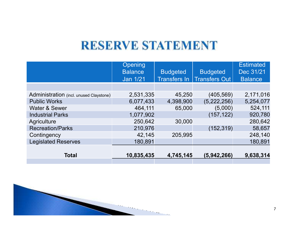#### **RESERVE STATEMENT**

|                                         | Opening<br><b>Balance</b><br><b>Jan 1/21</b> | <b>Budgeted</b><br><b>Transfers In</b> | <b>Budgeted</b><br><b>Transfers Out</b> | <b>Estimated</b><br>Dec 31/21<br><b>Balance</b> |
|-----------------------------------------|----------------------------------------------|----------------------------------------|-----------------------------------------|-------------------------------------------------|
|                                         |                                              |                                        |                                         |                                                 |
| Administration (incl. unused Claystone) | 2,531,335                                    | 45,250                                 | (405, 569)                              | 2,171,016                                       |
| <b>Public Works</b>                     | 6,077,433                                    | 4,398,900                              | (5,222,256)                             | 5,254,077                                       |
| <b>Water &amp; Sewer</b>                | 464,111                                      | 65,000                                 | (5,000)                                 | 524,111                                         |
| <b>Industrial Parks</b>                 | 1,077,902                                    |                                        | (157, 122)                              | 920,780                                         |
| Agriculture                             | 250,642                                      | 30,000                                 |                                         | 280,642                                         |
| <b>Recreation/Parks</b>                 | 210,976                                      |                                        | (152, 319)                              | 58,657                                          |
| Contingency                             | 42,145                                       | 205,995                                |                                         | 248,140                                         |
| <b>Legislated Reserves</b>              | 180,891                                      |                                        |                                         | 180,891                                         |
|                                         |                                              |                                        |                                         |                                                 |
| <b>Total</b>                            | 10,835,435                                   | 4,745,145                              | (5,942,266)                             | 9,638,314                                       |
|                                         |                                              |                                        |                                         |                                                 |

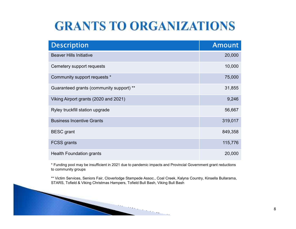#### **GRANTS TO ORGANIZATIONS**

| <b>Description</b>                       | <b>Amount</b> |
|------------------------------------------|---------------|
| <b>Beaver Hills Initiative</b>           | 20,000        |
| Cemetery support requests                | 10,000        |
| Community support requests *             | 75,000        |
| Guaranteed grants (community support) ** | 31,855        |
| Viking Airport grants (2020 and 2021)    | 9,246         |
| Ryley truckfill station upgrade          | 56,667        |
| <b>Business Incentive Grants</b>         | 319,017       |
| <b>BESC</b> grant                        | 849,358       |
| <b>FCSS grants</b>                       | 115,776       |
| <b>Health Foundation grants</b>          | 20,000        |

\* Funding pool may be insufficient in 2021 due to pandemic impacts and Provincial Government grant reductions to community groups

\*\* Victim Services, Seniors Fair, Cloverlodge Stampede Assoc., Coal Creek, Kalyna Country, Kinsella Bullarama, STARS, Tofield & Viking Christmas Hampers, Tofield Bull Bash, Viking Bull Bash

 $\sim$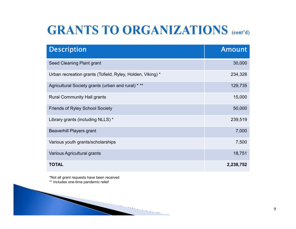#### **GRANTS TO ORGANIZATIONS** (cont'd)

| <b>Description</b>                                         | <b>Amount</b> |
|------------------------------------------------------------|---------------|
| Seed Cleaning Plant grant                                  | 30,000        |
| Urban recreation grants (Tofield, Ryley, Holden, Viking) * | 234,328       |
| Agricultural Society grants (urban and rural) * **         | 129,735       |
| <b>Rural Community Hall grants</b>                         | 15,000        |
| <b>Friends of Ryley School Society</b>                     | 50,000        |
| Library grants (including NLLS) *                          | 239,519       |
| <b>Beaverhill Players grant</b>                            | 7,000         |
| Various youth grants/scholarships                          | 7,500         |
| Various Agricultural grants                                | 18,751        |
| TOTAL                                                      | 2,238,752     |

 $\sim$  10  $\mu$ 

\*Not all grant requests have been received\*\* Includes one-time pandemic relief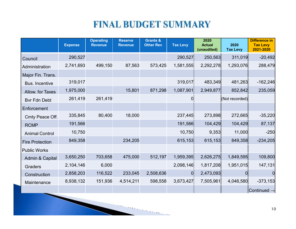#### **FINAL BUDGET SUMMARY**

|                        | <b>Expense</b> | <b>Operating</b><br><b>Revenue</b> | <b>Reserve</b><br><b>Revenue</b> | <b>Grants &amp;</b><br><b>Other Rev</b> | <b>Tax Levy</b> | 2020<br><b>Actual</b><br>(unaudited) | 2020<br><b>Tax Levy</b> | <b>Difference in</b><br><b>Tax Levy</b><br>2021-2020 |
|------------------------|----------------|------------------------------------|----------------------------------|-----------------------------------------|-----------------|--------------------------------------|-------------------------|------------------------------------------------------|
| Council                | 290,527        |                                    |                                  |                                         | 290,527         | 250,563                              | 311,019                 | $-20,492$                                            |
| Administration         | 2,741,693      | 499,150                            | 87,563                           | 573,425                                 | 1,581,555       | 2,292,278                            | 1,293,076               | 288,479                                              |
| Major Fin. Trans.      |                |                                    |                                  |                                         |                 |                                      |                         |                                                      |
| <b>Bus. Incentive</b>  | 319,017        |                                    |                                  |                                         | 319,017         | 483,349                              | 481,263                 | $-162,246$                                           |
| Allow. for Taxes       | 1,975,000      |                                    | 15,801                           | 871,298                                 | 1,087,901       | 2,949,877                            | 852,842                 | 235,059                                              |
| <b>Bvr Fdn Debt</b>    | 261,419        | 261,419                            |                                  |                                         | O               |                                      | (Not recorded)          |                                                      |
| Enforcement            |                |                                    |                                  |                                         |                 |                                      |                         |                                                      |
| Cmty Peace Off.        | 335,845        | 80,400                             | 18,000                           |                                         | 237,445         | 273,898                              | 272,665                 | $-35,220$                                            |
| <b>RCMP</b>            | 191,566        |                                    |                                  |                                         | 191,566         | 104,429                              | 104,429                 | 87,137                                               |
| <b>Animal Control</b>  | 10,750         |                                    |                                  |                                         | 10,750          | 9,353                                | 11,000                  | $-250$                                               |
| <b>Fire Protection</b> | 849,358        |                                    | 234,205                          |                                         | 615,153         | 615,153                              | 849,358                 | $-234,205$                                           |
| <b>Public Works</b>    |                |                                    |                                  |                                         |                 |                                      |                         |                                                      |
| Admin & Capital        | 3,650,250      | 703,658                            | 475,000                          | 512,197                                 | 1,959,395       | 2,626,275                            | 1,849,595               | 109,800                                              |
| Graders                | 2,104,146      | 6,000                              |                                  |                                         | 2,098,146       | 1,817,208                            | 1,951,015               | 147,131                                              |
| Construction           | 2,858,203      | 116,522                            | 233,045                          | 2,508,636                               | $\overline{0}$  | 2,473,093                            | $\Omega$                | <sup>O</sup>                                         |
| Maintenance            | 8,938,132      | 151,936                            | 4,514,211                        | 598,558                                 | 3,673,427       | 7,505,961                            | 4,046,580               | $-373,153$                                           |
|                        |                |                                    |                                  |                                         |                 |                                      |                         | $ $ Continued $\rightarrow$                          |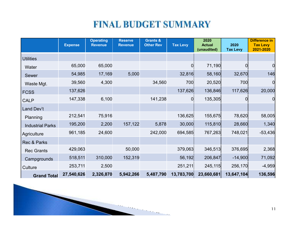#### **FINAL BUDGET SUMMARY**

|                         | <b>Expense</b> | <b>Operating</b><br><b>Revenue</b> | <b>Reserve</b><br><b>Revenue</b> | <b>Grants &amp;</b><br><b>Other Rev</b> | <b>Tax Levy</b> | 2020<br><b>Actual</b><br>(unaudited) | 2020<br><b>Tax Levy</b> | <b>Difference in</b><br><b>Tax Levy</b><br>2021-2020 |
|-------------------------|----------------|------------------------------------|----------------------------------|-----------------------------------------|-----------------|--------------------------------------|-------------------------|------------------------------------------------------|
| <b>Utilities</b>        |                |                                    |                                  |                                         |                 |                                      |                         |                                                      |
| Water                   | 65,000         | 65,000                             |                                  |                                         | O               | 71,190                               | 0                       | 0                                                    |
| Sewer                   | 54,985         | 17,169                             | 5,000                            |                                         | 32,816          | 58,160                               | 32,670                  | 146                                                  |
| Waste Mgt.              | 39,560         | 4,300                              |                                  | 34,560                                  | 700             | 20,520                               | 700                     | $\overline{0}$                                       |
| <b>FCSS</b>             | 137,626        |                                    |                                  |                                         | 137,626         | 136,846                              | 117,626                 | 20,000                                               |
| <b>CALP</b>             | 147,338        | 6,100                              |                                  | 141,238                                 | 0               | 135,305                              | 0                       | $\overline{0}$                                       |
| Land Dev't              |                |                                    |                                  |                                         |                 |                                      |                         |                                                      |
| Planning                | 212,541        | 75,916                             |                                  |                                         | 136,625         | 155,675                              | 78,620                  | 58,005                                               |
| <b>Industrial Parks</b> | 195,200        | 2,200                              | 157,122                          | 5,878                                   | 30,000          | 115,810                              | 28,660                  | 1,340                                                |
| Agriculture             | 961,185        | 24,600                             |                                  | 242,000                                 | 694,585         | 767,263                              | 748,021                 | $-53,436$                                            |
| Rec & Parks             |                |                                    |                                  |                                         |                 |                                      |                         |                                                      |
| <b>Rec Grants</b>       | 429,063        |                                    | 50,000                           |                                         | 379,063         | 346,513                              | 376,695                 | 2,368                                                |
| Campgrounds             | 518,511        | 310,000                            | 152,319                          |                                         | 56,192          | 206,847                              | $-14,900$               | 71,092                                               |
| Culture                 | 253,711        | 2,500                              |                                  |                                         | 251,211         | 245,115                              | 256,170                 | $-4,959$                                             |
| <b>Grand Total</b>      | 27,540,626     | 2,326,870                          | 5,942,266                        | 5,487,790                               | 13,783,700      | 23,660,681                           | 13,647,104              | 136,596                                              |

**State of Book**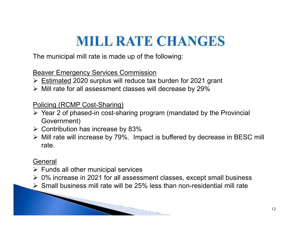## **MILL RATE CHANGES**

The municipal mill rate is made up of the following:

**Beaver Emergency Services Commission** 

- $\triangleright$  Estimated 2020 surplus will reduce tax burden for 2021 grant<br>  $\triangleright$  Mill reta for all assessment alsoses will deereese by 200/
- $\triangleright$  Mill rate for all assessment classes will decrease by 29%

Policing (RCMP Cost-Sharing)

- Year 2 of phased-in cost-sharing program (mandated by the Provincial Government)
- $\triangleright$  Contribution has increase by 83%
- Mill rate will increase by 79%. Impact is buffered by decrease in BESC mill rate.

#### **General**

- > Funds all other municipal services
- $\geq 0\%$  increase in 2021 for all assessment classes, except small business<br> $\geq 0$  Small business mill rate will be 25% less then nen residential mill rate
- Small business mill rate will be 25% less than non-residential mill rate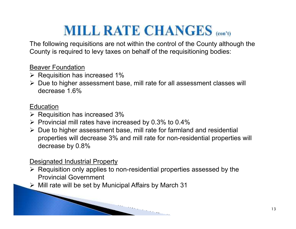## **MILL RATE CHANGES** (con't)

The following requisitions are not within the control of the County although the County is required to levy taxes on behalf of the requisitioning bodies:

Beaver Foundation

- $\triangleright$  Requisition has increased 1%
- ► Due to higher assessment base, mill rate for all assessment classes will decrease 4.6% decrease 1.6%

#### **Education**

- $\triangleright$  Requisition has increased 3%<br>  $\triangleright$  Provincial mill rates have insta
- $\triangleright$  Provincial mill rates have increased by 0.3% to 0.4%
- ► Due to higher assessment base, mill rate for farmland and residential<br>necessities will decrease 2% and mill rate for nep residential preparties properties will decrease 3% and mill rate for non-residential properties will decrease by 0.8%

Designated Industrial Property

► Requisition only applies to non-residential properties assessed by the Requisition only applies to non-residential properties Provincial Government

 $\triangleright$  Mill rate will be set by Municipal Affairs by March 31